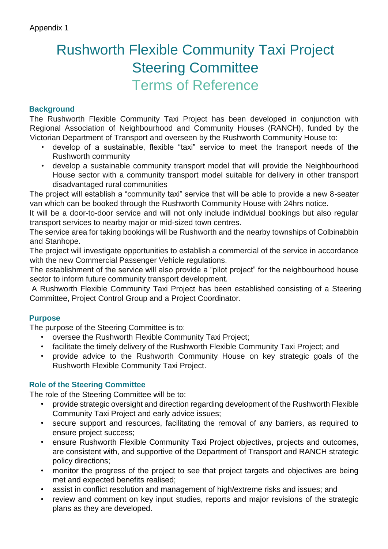# Rushworth Flexible Community Taxi Project Steering Committee Terms of Reference

## **Background**

The Rushworth Flexible Community Taxi Project has been developed in conjunction with Regional Association of Neighbourhood and Community Houses (RANCH), funded by the Victorian Department of Transport and overseen by the Rushworth Community House to:

- develop of a sustainable, flexible "taxi" service to meet the transport needs of the Rushworth community
- develop a sustainable community transport model that will provide the Neighbourhood House sector with a community transport model suitable for delivery in other transport disadvantaged rural communities

The project will establish a "community taxi" service that will be able to provide a new 8-seater van which can be booked through the Rushworth Community House with 24hrs notice.

It will be a door-to-door service and will not only include individual bookings but also regular transport services to nearby major or mid-sized town centres.

The service area for taking bookings will be Rushworth and the nearby townships of Colbinabbin and Stanhope.

The project will investigate opportunities to establish a commercial of the service in accordance with the new Commercial Passenger Vehicle regulations.

The establishment of the service will also provide a "pilot project" for the neighbourhood house sector to inform future community transport development.

A Rushworth Flexible Community Taxi Project has been established consisting of a Steering Committee, Project Control Group and a Project Coordinator.

### **Purpose**

The purpose of the Steering Committee is to:

- oversee the Rushworth Flexible Community Taxi Project;
- facilitate the timely delivery of the Rushworth Flexible Community Taxi Project; and
- provide advice to the Rushworth Community House on key strategic goals of the Rushworth Flexible Community Taxi Project.

### **Role of the Steering Committee**

The role of the Steering Committee will be to:

- provide strategic oversight and direction regarding development of the Rushworth Flexible Community Taxi Project and early advice issues;
- secure support and resources, facilitating the removal of any barriers, as required to ensure project success;
- ensure Rushworth Flexible Community Taxi Project objectives, projects and outcomes, are consistent with, and supportive of the Department of Transport and RANCH strategic policy directions;
- monitor the progress of the project to see that project targets and objectives are being met and expected benefits realised;
- assist in conflict resolution and management of high/extreme risks and issues; and
- review and comment on key input studies, reports and major revisions of the strategic plans as they are developed.